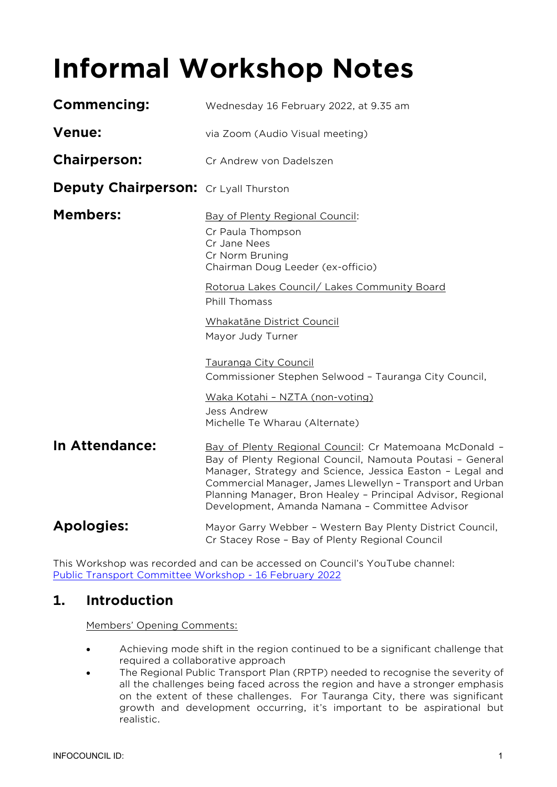# **Informal Workshop Notes**

| <b>Commencing:</b>                    | Wednesday 16 February 2022, at 9.35 am                                                                                                                                                                                                                                                                                                                          |
|---------------------------------------|-----------------------------------------------------------------------------------------------------------------------------------------------------------------------------------------------------------------------------------------------------------------------------------------------------------------------------------------------------------------|
| <b>Venue:</b>                         | via Zoom (Audio Visual meeting)                                                                                                                                                                                                                                                                                                                                 |
| <b>Chairperson:</b>                   | Cr Andrew von Dadelszen                                                                                                                                                                                                                                                                                                                                         |
| Deputy Chairperson: Cr Lyall Thurston |                                                                                                                                                                                                                                                                                                                                                                 |
| <b>Members:</b>                       | Bay of Plenty Regional Council:<br>Cr Paula Thompson<br>Cr Jane Nees<br>Cr Norm Bruning<br>Chairman Doug Leeder (ex-officio)                                                                                                                                                                                                                                    |
|                                       | Rotorua Lakes Council/ Lakes Community Board<br><b>Phill Thomass</b>                                                                                                                                                                                                                                                                                            |
|                                       | <b>Whakatāne District Council</b><br>Mayor Judy Turner                                                                                                                                                                                                                                                                                                          |
|                                       | Tauranga City Council<br>Commissioner Stephen Selwood - Tauranga City Council,<br>Waka Kotahi - NZTA (non-voting)<br><b>Jess Andrew</b><br>Michelle Te Wharau (Alternate)                                                                                                                                                                                       |
| In Attendance:                        | Bay of Plenty Regional Council: Cr Matemoana McDonald -<br>Bay of Plenty Regional Council, Namouta Poutasi - General<br>Manager, Strategy and Science, Jessica Easton - Legal and<br>Commercial Manager, James Llewellyn - Transport and Urban<br>Planning Manager, Bron Healey - Principal Advisor, Regional<br>Development, Amanda Namana - Committee Advisor |
| <b>Apologies:</b>                     | Mayor Garry Webber - Western Bay Plenty District Council,<br>Cr Stacey Rose - Bay of Plenty Regional Council                                                                                                                                                                                                                                                    |
|                                       |                                                                                                                                                                                                                                                                                                                                                                 |

This Workshop was recorded and can be accessed on Council's YouTube channel: [Public Transport Committee Workshop -](https://www.youtube.com/watch?v=DHwmptVd6mQ) 16 February 2022

# **1. Introduction**

Members' Opening Comments:

- Achieving mode shift in the region continued to be a significant challenge that required a collaborative approach
- The Regional Public Transport Plan (RPTP) needed to recognise the severity of all the challenges being faced across the region and have a stronger emphasis on the extent of these challenges. For Tauranga City, there was significant growth and development occurring, it's important to be aspirational but realistic.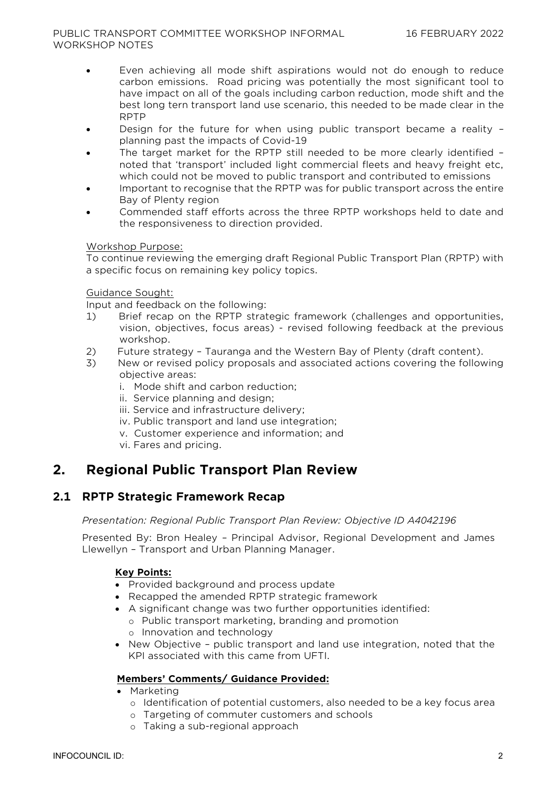#### PUBLIC TRANSPORT COMMITTEE WORKSHOP INFORMAL WORKSHOP NOTES

- Even achieving all mode shift aspirations would not do enough to reduce carbon emissions. Road pricing was potentially the most significant tool to have impact on all of the goals including carbon reduction, mode shift and the best long tern transport land use scenario, this needed to be made clear in the RPTP
- Design for the future for when using public transport became a reality planning past the impacts of Covid-19
- The target market for the RPTP still needed to be more clearly identified noted that 'transport' included light commercial fleets and heavy freight etc, which could not be moved to public transport and contributed to emissions
- Important to recognise that the RPTP was for public transport across the entire Bay of Plenty region
- Commended staff efforts across the three RPTP workshops held to date and the responsiveness to direction provided.

## Workshop Purpose:

To continue reviewing the emerging draft Regional Public Transport Plan (RPTP) with a specific focus on remaining key policy topics.

## Guidance Sought:

Input and feedback on the following:

- 1) Brief recap on the RPTP strategic framework (challenges and opportunities, vision, objectives, focus areas) - revised following feedback at the previous workshop.
- 2) Future strategy Tauranga and the Western Bay of Plenty (draft content).
- 3) New or revised policy proposals and associated actions covering the following objective areas:
	- i. Mode shift and carbon reduction;
	- ii. Service planning and design;
	- iii. Service and infrastructure delivery;
	- iv. Public transport and land use integration;
	- v. Customer experience and information; and
	- vi. Fares and pricing.

# **2. Regional Public Transport Plan Review**

## **2.1 RPTP Strategic Framework Recap**

## *Presentation: Regional Public Transport Plan Review: Objective ID A4042196*

Presented By: Bron Healey – Principal Advisor, Regional Development and James Llewellyn – Transport and Urban Planning Manager.

## **Key Points:**

- Provided background and process update
- Recapped the amended RPTP strategic framework
- A significant change was two further opportunities identified:
	- o Public transport marketing, branding and promotion
	- o Innovation and technology
- New Objective public transport and land use integration, noted that the KPI associated with this came from UFTI.

## **Members' Comments/ Guidance Provided:**

- Marketing
	- o Identification of potential customers, also needed to be a key focus area
	- o Targeting of commuter customers and schools
	- o Taking a sub-regional approach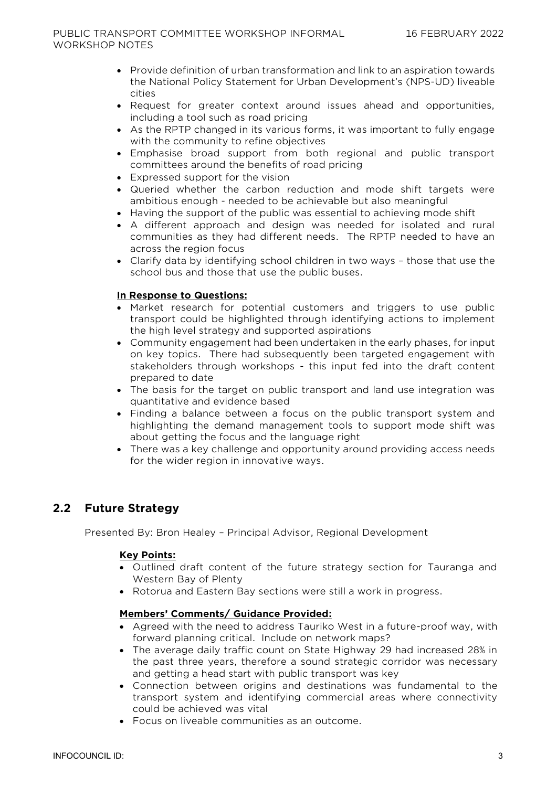- Provide definition of urban transformation and link to an aspiration towards the National Policy Statement for Urban Development's (NPS-UD) liveable cities
- Request for greater context around issues ahead and opportunities, including a tool such as road pricing
- As the RPTP changed in its various forms, it was important to fully engage with the community to refine objectives
- Emphasise broad support from both regional and public transport committees around the benefits of road pricing
- Expressed support for the vision
- Queried whether the carbon reduction and mode shift targets were ambitious enough - needed to be achievable but also meaningful
- Having the support of the public was essential to achieving mode shift
- A different approach and design was needed for isolated and rural communities as they had different needs. The RPTP needed to have an across the region focus
- Clarify data by identifying school children in two ways those that use the school bus and those that use the public buses.

## **In Response to Questions:**

- Market research for potential customers and triggers to use public transport could be highlighted through identifying actions to implement the high level strategy and supported aspirations
- Community engagement had been undertaken in the early phases, for input on key topics. There had subsequently been targeted engagement with stakeholders through workshops - this input fed into the draft content prepared to date
- The basis for the target on public transport and land use integration was quantitative and evidence based
- Finding a balance between a focus on the public transport system and highlighting the demand management tools to support mode shift was about getting the focus and the language right
- There was a key challenge and opportunity around providing access needs for the wider region in innovative ways.

## **2.2 Future Strategy**

Presented By: Bron Healey – Principal Advisor, Regional Development

#### **Key Points:**

- Outlined draft content of the future strategy section for Tauranga and Western Bay of Plenty
- Rotorua and Eastern Bay sections were still a work in progress.

#### **Members' Comments/ Guidance Provided:**

- Agreed with the need to address Tauriko West in a future-proof way, with forward planning critical. Include on network maps?
- The average daily traffic count on State Highway 29 had increased 28% in the past three years, therefore a sound strategic corridor was necessary and getting a head start with public transport was key
- Connection between origins and destinations was fundamental to the transport system and identifying commercial areas where connectivity could be achieved was vital
- Focus on liveable communities as an outcome.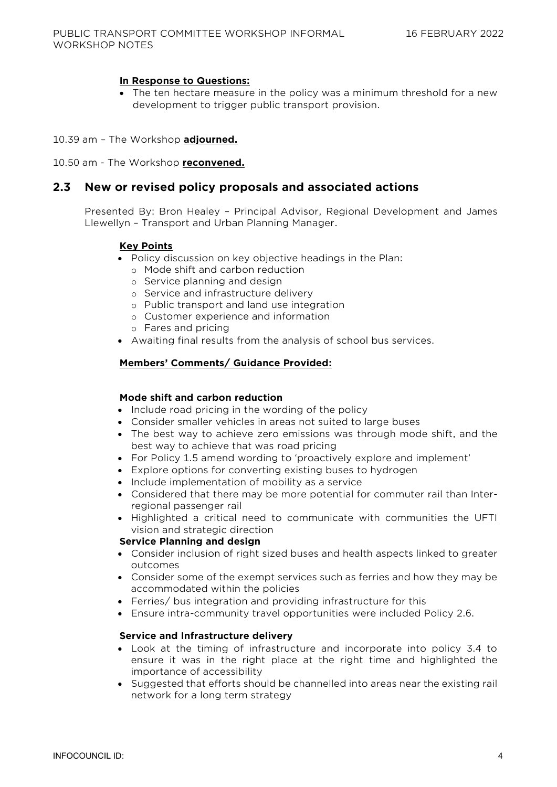## **In Response to Questions:**

- The ten hectare measure in the policy was a minimum threshold for a new development to trigger public transport provision.
- 10.39 am The Workshop **adjourned.**
- 10.50 am The Workshop **reconvened.**

## **2.3 New or revised policy proposals and associated actions**

Presented By: Bron Healey – Principal Advisor, Regional Development and James Llewellyn – Transport and Urban Planning Manager.

#### **Key Points**

- Policy discussion on key objective headings in the Plan:
	- o Mode shift and carbon reduction
	- o Service planning and design
	- o Service and infrastructure delivery
	- o Public transport and land use integration
	- o Customer experience and information
	- o Fares and pricing
- Awaiting final results from the analysis of school bus services.

#### **Members' Comments/ Guidance Provided:**

#### **Mode shift and carbon reduction**

- Include road pricing in the wording of the policy
- Consider smaller vehicles in areas not suited to large buses
- The best way to achieve zero emissions was through mode shift, and the best way to achieve that was road pricing
- For Policy 1.5 amend wording to 'proactively explore and implement'
- Explore options for converting existing buses to hydrogen
- Include implementation of mobility as a service
- Considered that there may be more potential for commuter rail than Interregional passenger rail
- Highlighted a critical need to communicate with communities the UFTI vision and strategic direction

#### **Service Planning and design**

- Consider inclusion of right sized buses and health aspects linked to greater outcomes
- Consider some of the exempt services such as ferries and how they may be accommodated within the policies
- Ferries/ bus integration and providing infrastructure for this
- Ensure intra-community travel opportunities were included Policy 2.6.

#### **Service and Infrastructure delivery**

- Look at the timing of infrastructure and incorporate into policy 3.4 to ensure it was in the right place at the right time and highlighted the importance of accessibility
- Suggested that efforts should be channelled into areas near the existing rail network for a long term strategy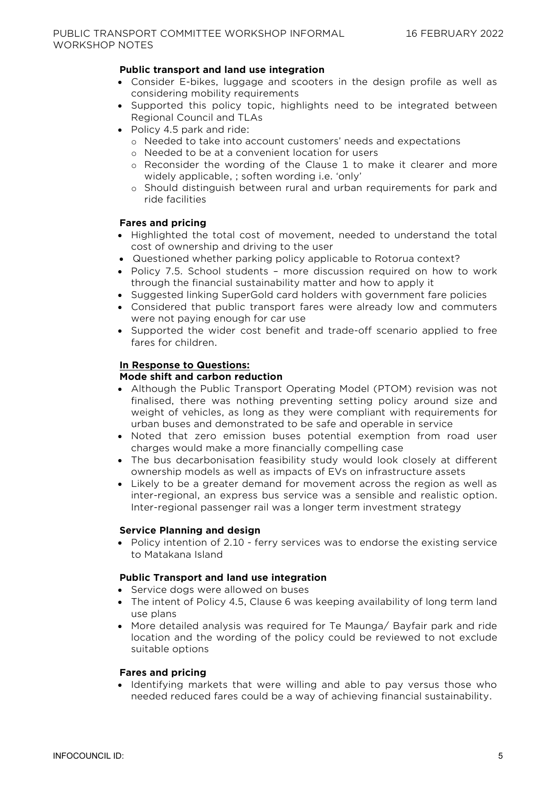## **Public transport and land use integration**

- Consider E-bikes, luggage and scooters in the design profile as well as considering mobility requirements
- Supported this policy topic, highlights need to be integrated between Regional Council and TLAs
- Policy 4.5 park and ride:
	- o Needed to take into account customers' needs and expectations
	- o Needed to be at a convenient location for users
	- o Reconsider the wording of the Clause 1 to make it clearer and more widely applicable, ; soften wording i.e. 'only'
	- o Should distinguish between rural and urban requirements for park and ride facilities

## **Fares and pricing**

- Highlighted the total cost of movement, needed to understand the total cost of ownership and driving to the user
- Questioned whether parking policy applicable to Rotorua context?
- Policy 7.5. School students more discussion required on how to work through the financial sustainability matter and how to apply it
- Suggested linking SuperGold card holders with government fare policies
- Considered that public transport fares were already low and commuters were not paying enough for car use
- Supported the wider cost benefit and trade-off scenario applied to free fares for children.

## **In Response to Questions:**

#### **Mode shift and carbon reduction**

- Although the Public Transport Operating Model (PTOM) revision was not finalised, there was nothing preventing setting policy around size and weight of vehicles, as long as they were compliant with requirements for urban buses and demonstrated to be safe and operable in service
- Noted that zero emission buses potential exemption from road user charges would make a more financially compelling case
- The bus decarbonisation feasibility study would look closely at different ownership models as well as impacts of EVs on infrastructure assets
- Likely to be a greater demand for movement across the region as well as inter-regional, an express bus service was a sensible and realistic option. Inter-regional passenger rail was a longer term investment strategy

#### **Service Planning and design**

• Policy intention of 2.10 - ferry services was to endorse the existing service to Matakana Island

#### **Public Transport and land use integration**

- Service dogs were allowed on buses
- The intent of Policy 4.5, Clause 6 was keeping availability of long term land use plans
- More detailed analysis was required for Te Maunga/ Bayfair park and ride location and the wording of the policy could be reviewed to not exclude suitable options

#### **Fares and pricing**

• Identifying markets that were willing and able to pay versus those who needed reduced fares could be a way of achieving financial sustainability.